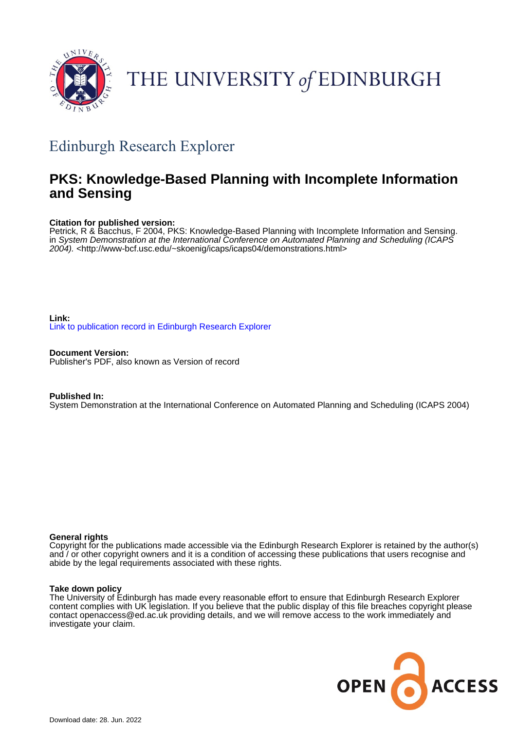

# THE UNIVERSITY of EDINBURGH

## Edinburgh Research Explorer

### **PKS: Knowledge-Based Planning with Incomplete Information and Sensing**

#### **Citation for published version:**

Petrick, R & Bacchus, F 2004, PKS: Knowledge-Based Planning with Incomplete Information and Sensing. in System Demonstration at the International Conference on Automated Planning and Scheduling (ICAPS 2004). <<http://www-bcf.usc.edu/~skoenig/icaps/icaps04/demonstrations.html>>

#### **Link:** [Link to publication record in Edinburgh Research Explorer](https://www.research.ed.ac.uk/en/publications/f5ff95a9-65b4-48ab-ac01-9396c977a16e)

**Document Version:** Publisher's PDF, also known as Version of record

#### **Published In:**

System Demonstration at the International Conference on Automated Planning and Scheduling (ICAPS 2004)

#### **General rights**

Copyright for the publications made accessible via the Edinburgh Research Explorer is retained by the author(s) and / or other copyright owners and it is a condition of accessing these publications that users recognise and abide by the legal requirements associated with these rights.

#### **Take down policy**

The University of Edinburgh has made every reasonable effort to ensure that Edinburgh Research Explorer content complies with UK legislation. If you believe that the public display of this file breaches copyright please contact openaccess@ed.ac.uk providing details, and we will remove access to the work immediately and investigate your claim.

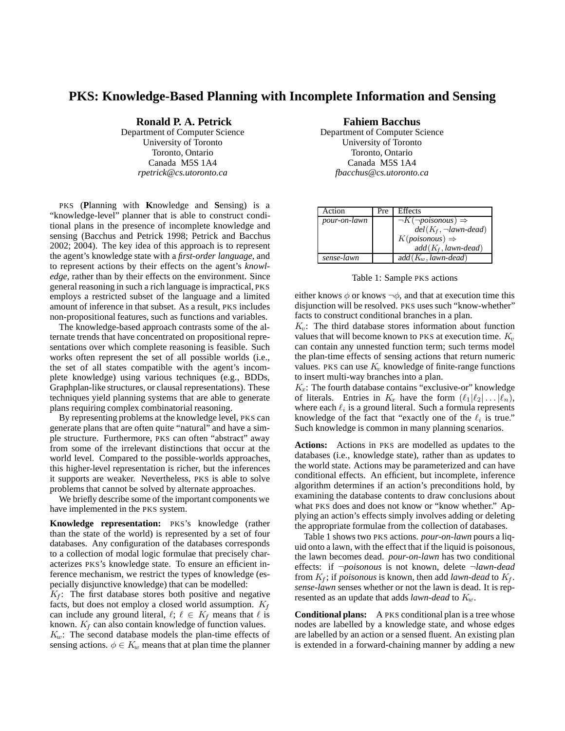#### **PKS: Knowledge-Based Planning with Incomplete Information and Sensing**

**Ronald P. A. Petrick**

Department of Computer Science University of Toronto Toronto, Ontario Canada M5S 1A4 *rpetrick@cs.utoronto.ca*

PKS (**P**lanning with **K**nowledge and **S**ensing) is a "knowledge-level" planner that is able to construct conditional plans in the presence of incomplete knowledge and sensing (Bacchus and Petrick 1998; Petrick and Bacchus 2002; 2004). The key idea of this approach is to represent the agent's knowledge state with a *first-order language*, and to represent actions by their effects on the agent's *knowledge*, rather than by their effects on the environment. Since general reasoning in such a rich language is impractical, PKS employs a restricted subset of the language and a limited amount of inference in that subset. As a result, PKS includes non-propositional features, such as functions and variables.

The knowledge-based approach contrasts some of the alternate trends that have concentrated on propositional representations over which complete reasoning is feasible. Such works often represent the set of all possible worlds (i.e., the set of all states compatible with the agent's incomplete knowledge) using various techniques (e.g., BDDs, Graphplan-like structures, or clausal representations). These techniques yield planning systems that are able to generate plans requiring complex combinatorial reasoning.

By representing problems at the knowledge level, PKS can generate plans that are often quite "natural" and have a simple structure. Furthermore, PKS can often "abstract" away from some of the irrelevant distinctions that occur at the world level. Compared to the possible-worlds approaches, this higher-level representation is richer, but the inferences it supports are weaker. Nevertheless, PKS is able to solve problems that cannot be solved by alternate approaches.

We briefly describe some of the important components we have implemented in the PKS system.

**Knowledge representation:** PKS's knowledge (rather than the state of the world) is represented by a set of four databases. Any configuration of the databases corresponds to a collection of modal logic formulae that precisely characterizes PKS's knowledge state. To ensure an efficient inference mechanism, we restrict the types of knowledge (especially disjunctive knowledge) that can be modelled:

 $K_f$ : The first database stores both positive and negative facts, but does not employ a closed world assumption.  $K_f$ can include any ground literal,  $\ell$ ;  $\ell \in K_f$  means that  $\ell$  is known.  $K_f$  can also contain knowledge of function values.  $K_w$ : The second database models the plan-time effects of sensing actions.  $\phi \in K_w$  means that at plan time the planner **Fahiem Bacchus**

Department of Computer Science University of Toronto Toronto, Ontario Canada M5S 1A4 *fbacchus@cs.utoronto.ca*

| Action       | Pre | Effects                              |
|--------------|-----|--------------------------------------|
| pour-on-lawn |     | $\neg K(\neg poisonous) \Rightarrow$ |
|              |     | $del(K_f, \neg lawn\text{-}dead)$    |
|              |     | $K(poisonous) \Rightarrow$           |
|              |     | $add(K_f, lawn-dead)$                |
| sense-lawn   |     | $add(K_w, lawn-dead)$                |

Table 1: Sample PKS actions

either knows  $\phi$  or knows  $\neg \phi$ , and that at execution time this disjunction will be resolved. PKS uses such "know-whether" facts to construct conditional branches in a plan.

 $K_v$ : The third database stores information about function values that will become known to PKS at execution time.  $K_v$ can contain any unnested function term; such terms model the plan-time effects of sensing actions that return numeric values. PKS can use  $K_v$  knowledge of finite-range functions to insert multi-way branches into a plan.

 $K_x$ : The fourth database contains "exclusive-or" knowledge of literals. Entries in  $K_x$  have the form  $(\ell_1|\ell_2| \ldots |\ell_n),$ where each  $\ell_i$  is a ground literal. Such a formula represents knowledge of the fact that "exactly one of the  $\ell_i$  is true." Such knowledge is common in many planning scenarios.

**Actions:** Actions in PKS are modelled as updates to the databases (i.e., knowledge state), rather than as updates to the world state. Actions may be parameterized and can have conditional effects. An efficient, but incomplete, inference algorithm determines if an action's preconditions hold, by examining the database contents to draw conclusions about what PKS does and does not know or "know whether." Applying an action's effects simply involves adding or deleting the appropriate formulae from the collection of databases.

Table 1 shows two PKS actions. *pour-on-lawn* pours a liquid onto a lawn, with the effect that if the liquid is poisonous, the lawn becomes dead. *pour-on-lawn* has two conditional effects: if ¬*poisonous* is not known, delete ¬*lawn-dead* from  $K_f$ ; if *poisonous* is known, then add *lawn-dead* to  $K_f$ . *sense-lawn* senses whether or not the lawn is dead. It is represented as an update that adds *lawn-dead* to  $K_w$ .

**Conditional plans:** A PKS conditional plan is a tree whose nodes are labelled by a knowledge state, and whose edges are labelled by an action or a sensed fluent. An existing plan is extended in a forward-chaining manner by adding a new